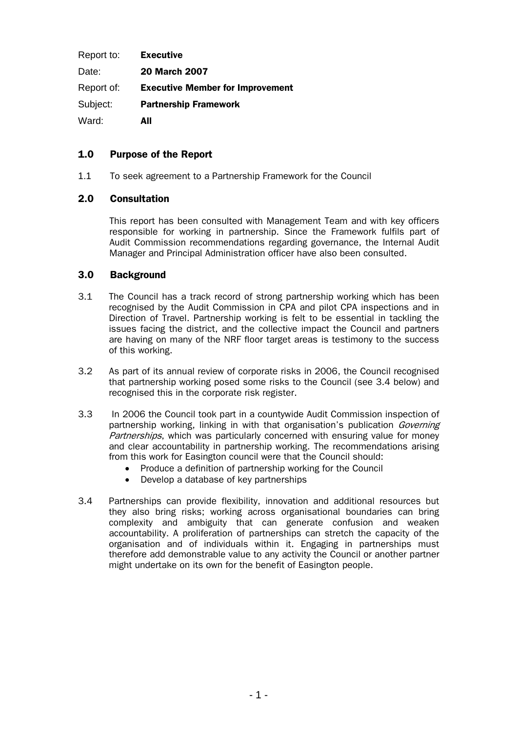| Report to: | <b>Executive</b>                        |
|------------|-----------------------------------------|
| Date:      | <b>20 March 2007</b>                    |
| Report of: | <b>Executive Member for Improvement</b> |
| Subject:   | <b>Partnership Framework</b>            |
| Ward:      | All                                     |

# 1.0 Purpose of the Report

1.1 To seek agreement to a Partnership Framework for the Council

# 2.0 Consultation

This report has been consulted with Management Team and with key officers responsible for working in partnership. Since the Framework fulfils part of Audit Commission recommendations regarding governance, the Internal Audit Manager and Principal Administration officer have also been consulted.

# 3.0 Background

- 3.1 The Council has a track record of strong partnership working which has been recognised by the Audit Commission in CPA and pilot CPA inspections and in Direction of Travel. Partnership working is felt to be essential in tackling the issues facing the district, and the collective impact the Council and partners are having on many of the NRF floor target areas is testimony to the success of this working.
- 3.2 As part of its annual review of corporate risks in 2006, the Council recognised that partnership working posed some risks to the Council (see 3.4 below) and recognised this in the corporate risk register.
- 3.3 In 2006 the Council took part in a countywide Audit Commission inspection of partnership working, linking in with that organisation's publication *Governing* Partnerships, which was particularly concerned with ensuring value for money and clear accountability in partnership working. The recommendations arising from this work for Easington council were that the Council should:
	- Produce a definition of partnership working for the Council
	- Develop a database of key partnerships
- 3.4 Partnerships can provide flexibility, innovation and additional resources but they also bring risks; working across organisational boundaries can bring complexity and ambiguity that can generate confusion and weaken accountability. A proliferation of partnerships can stretch the capacity of the organisation and of individuals within it. Engaging in partnerships must therefore add demonstrable value to any activity the Council or another partner might undertake on its own for the benefit of Easington people.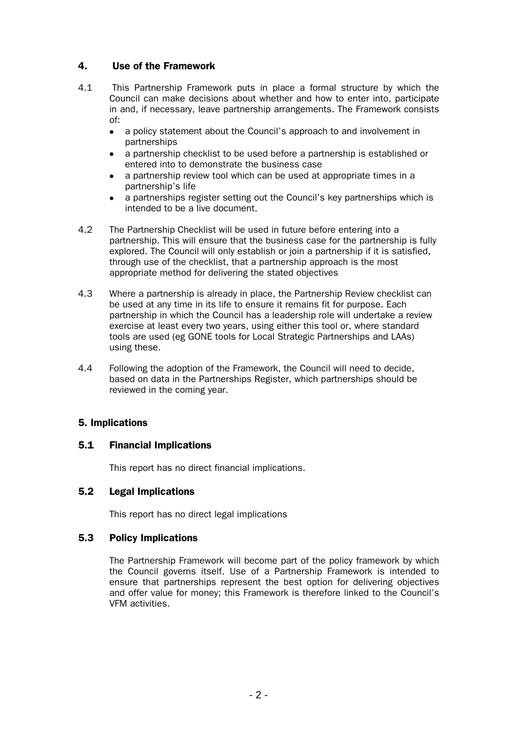# 4. Use of the Framework

- 4.1 This Partnership Framework puts in place a formal structure by which the Council can make decisions about whether and how to enter into, participate in and, if necessary, leave partnership arrangements. The Framework consists of:
	- a policy statement about the Council's approach to and involvement in partnerships
	- a partnership checklist to be used before a partnership is established or entered into to demonstrate the business case
	- a partnership review tool which can be used at appropriate times in a partnership's life
	- a partnerships register setting out the Council's key partnerships which is intended to be a live document.
- 4.2 The Partnership Checklist will be used in future before entering into a partnership. This will ensure that the business case for the partnership is fully explored. The Council will only establish or join a partnership if it is satisfied, through use of the checklist, that a partnership approach is the most appropriate method for delivering the stated objectives
- 4.3 Where a partnership is already in place, the Partnership Review checklist can be used at any time in its life to ensure it remains fit for purpose. Each partnership in which the Council has a leadership role will undertake a review exercise at least every two years, using either this tool or, where standard tools are used (eg GONE tools for Local Strategic Partnerships and LAAs) using these.
- 4.4 Following the adoption of the Framework, the Council will need to decide, based on data in the Partnerships Register, which partnerships should be reviewed in the coming year.

# 5. Implications

# 5.1 Financial Implications

This report has no direct financial implications.

# 5.2 Legal Implications

This report has no direct legal implications

# 5.3 Policy Implications

The Partnership Framework will become part of the policy framework by which the Council governs itself. Use of a Partnership Framework is intended to ensure that partnerships represent the best option for delivering objectives and offer value for money; this Framework is therefore linked to the Council's VFM activities.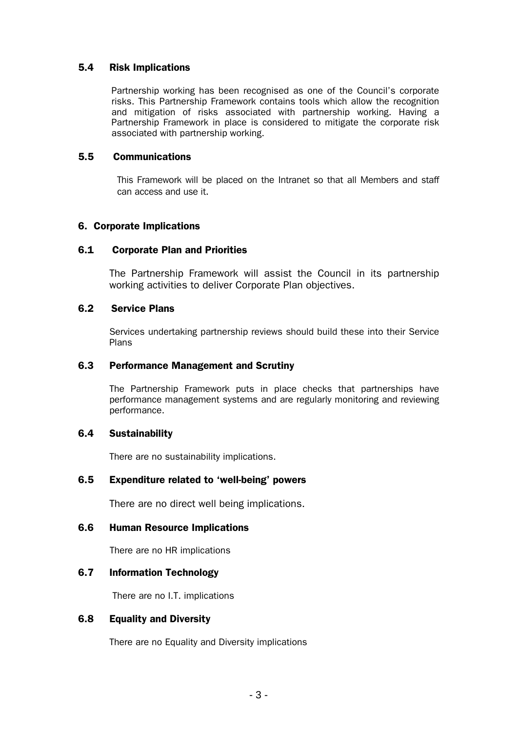# 5.4 Risk Implications

Partnership working has been recognised as one of the Council's corporate risks. This Partnership Framework contains tools which allow the recognition and mitigation of risks associated with partnership working. Having a Partnership Framework in place is considered to mitigate the corporate risk associated with partnership working.

# 5.5 Communications

This Framework will be placed on the Intranet so that all Members and staff can access and use it.

# 6. Corporate Implications

### 6.1 Corporate Plan and Priorities

The Partnership Framework will assist the Council in its partnership working activities to deliver Corporate Plan objectives.

### 6.2 Service Plans

Services undertaking partnership reviews should build these into their Service Plans

### 6.3 Performance Management and Scrutiny

The Partnership Framework puts in place checks that partnerships have performance management systems and are regularly monitoring and reviewing performance.

# 6.4 Sustainability

There are no sustainability implications.

# 6.5 Expenditure related to 'well-being' powers

There are no direct well being implications.

#### 6.6 Human Resource Implications

There are no HR implications

### 6.7 Information Technology

There are no I.T. implications

### 6.8 Equality and Diversity

There are no Equality and Diversity implications